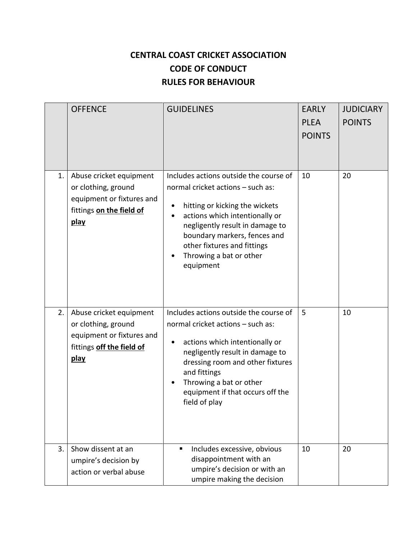## **CENTRAL COAST CRICKET ASSOCIATION CODE OF CONDUCT RULES FOR BEHAVIOUR**

|                | <b>OFFENCE</b>                                                                                                   | <b>GUIDELINES</b>                                                                                                                                                                                                                                                                                      | <b>EARLY</b><br><b>PLEA</b><br><b>POINTS</b> | <b>JUDICIARY</b><br><b>POINTS</b> |
|----------------|------------------------------------------------------------------------------------------------------------------|--------------------------------------------------------------------------------------------------------------------------------------------------------------------------------------------------------------------------------------------------------------------------------------------------------|----------------------------------------------|-----------------------------------|
| 1.             | Abuse cricket equipment<br>or clothing, ground<br>equipment or fixtures and<br>fittings on the field of<br>play  | Includes actions outside the course of<br>normal cricket actions - such as:<br>hitting or kicking the wickets<br>actions which intentionally or<br>$\bullet$<br>negligently result in damage to<br>boundary markers, fences and<br>other fixtures and fittings<br>Throwing a bat or other<br>equipment | 10                                           | 20                                |
| 2.             | Abuse cricket equipment<br>or clothing, ground<br>equipment or fixtures and<br>fittings off the field of<br>play | Includes actions outside the course of<br>normal cricket actions - such as:<br>actions which intentionally or<br>٠<br>negligently result in damage to<br>dressing room and other fixtures<br>and fittings<br>Throwing a bat or other<br>equipment if that occurs off the<br>field of play              | 5                                            | 10                                |
| 3 <sub>1</sub> | Show dissent at an<br>umpire's decision by<br>action or verbal abuse                                             | Includes excessive, obvious<br>disappointment with an<br>umpire's decision or with an<br>umpire making the decision                                                                                                                                                                                    | 10                                           | 20                                |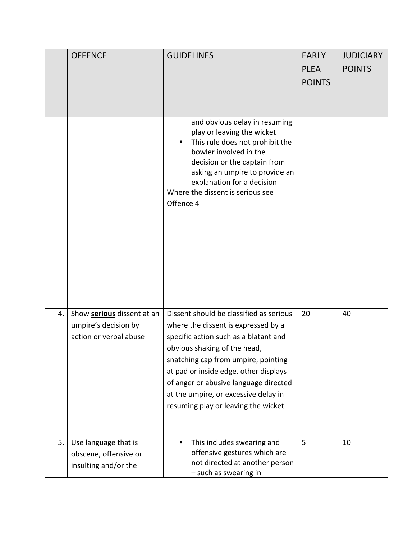|    | <b>OFFENCE</b>                                                        | <b>GUIDELINES</b>                                                                                                                                                                                                                              | <b>EARLY</b>                 | <b>JUDICIARY</b> |
|----|-----------------------------------------------------------------------|------------------------------------------------------------------------------------------------------------------------------------------------------------------------------------------------------------------------------------------------|------------------------------|------------------|
|    |                                                                       |                                                                                                                                                                                                                                                | <b>PLEA</b><br><b>POINTS</b> | <b>POINTS</b>    |
|    |                                                                       |                                                                                                                                                                                                                                                |                              |                  |
|    |                                                                       | and obvious delay in resuming                                                                                                                                                                                                                  |                              |                  |
|    |                                                                       | play or leaving the wicket<br>This rule does not prohibit the<br>п.<br>bowler involved in the<br>decision or the captain from<br>asking an umpire to provide an<br>explanation for a decision<br>Where the dissent is serious see<br>Offence 4 |                              |                  |
| 4. | Show serious dissent at an                                            | Dissent should be classified as serious                                                                                                                                                                                                        | 20                           | 40               |
|    | umpire's decision by                                                  | where the dissent is expressed by a                                                                                                                                                                                                            |                              |                  |
|    | action or verbal abuse                                                | specific action such as a blatant and<br>obvious shaking of the head,                                                                                                                                                                          |                              |                  |
|    |                                                                       | snatching cap from umpire, pointing                                                                                                                                                                                                            |                              |                  |
|    |                                                                       | at pad or inside edge, other displays                                                                                                                                                                                                          |                              |                  |
|    |                                                                       | of anger or abusive language directed                                                                                                                                                                                                          |                              |                  |
|    |                                                                       | at the umpire, or excessive delay in<br>resuming play or leaving the wicket                                                                                                                                                                    |                              |                  |
|    |                                                                       |                                                                                                                                                                                                                                                |                              |                  |
| 5. | Use language that is<br>obscene, offensive or<br>insulting and/or the | This includes swearing and<br>offensive gestures which are<br>not directed at another person<br>- such as swearing in                                                                                                                          | 5                            | 10               |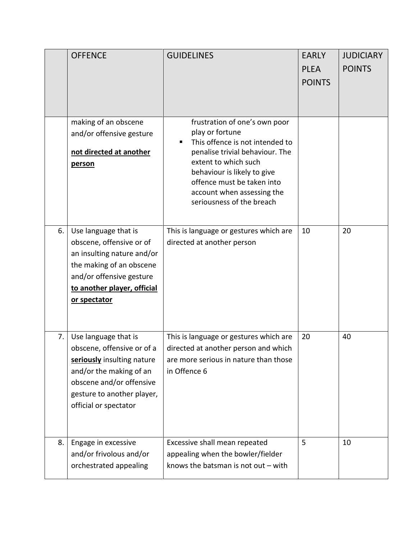|    | <b>OFFENCE</b>                                                                                                                                                                                 | <b>GUIDELINES</b>                                                                                                                                                                                                                                                      | <b>EARLY</b><br><b>PLEA</b><br><b>POINTS</b> | <b>JUDICIARY</b><br><b>POINTS</b> |
|----|------------------------------------------------------------------------------------------------------------------------------------------------------------------------------------------------|------------------------------------------------------------------------------------------------------------------------------------------------------------------------------------------------------------------------------------------------------------------------|----------------------------------------------|-----------------------------------|
|    | making of an obscene<br>and/or offensive gesture<br>not directed at another<br>person                                                                                                          | frustration of one's own poor<br>play or fortune<br>This offence is not intended to<br>penalise trivial behaviour. The<br>extent to which such<br>behaviour is likely to give<br>offence must be taken into<br>account when assessing the<br>seriousness of the breach |                                              |                                   |
| 6. | Use language that is<br>obscene, offensive or of<br>an insulting nature and/or<br>the making of an obscene<br>and/or offensive gesture<br>to another player, official<br>or spectator          | This is language or gestures which are<br>directed at another person                                                                                                                                                                                                   | 10                                           | 20                                |
| 7. | Use language that is<br>obscene, offensive or of a<br>seriously insulting nature<br>and/or the making of an<br>obscene and/or offensive<br>gesture to another player,<br>official or spectator | This is language or gestures which are<br>directed at another person and which<br>are more serious in nature than those<br>in Offence 6                                                                                                                                | 20                                           | 40                                |
| 8. | Engage in excessive<br>and/or frivolous and/or<br>orchestrated appealing                                                                                                                       | Excessive shall mean repeated<br>appealing when the bowler/fielder<br>knows the batsman is not out $-$ with                                                                                                                                                            | 5                                            | 10                                |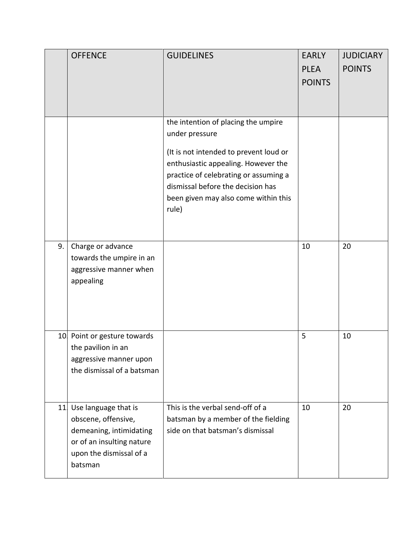|     | <b>OFFENCE</b>                                                                                                                            | <b>GUIDELINES</b>                                                                                                                                                                                                                                                     | <b>EARLY</b><br><b>PLEA</b><br><b>POINTS</b> | <b>JUDICIARY</b><br><b>POINTS</b> |
|-----|-------------------------------------------------------------------------------------------------------------------------------------------|-----------------------------------------------------------------------------------------------------------------------------------------------------------------------------------------------------------------------------------------------------------------------|----------------------------------------------|-----------------------------------|
|     |                                                                                                                                           | the intention of placing the umpire<br>under pressure<br>(It is not intended to prevent loud or<br>enthusiastic appealing. However the<br>practice of celebrating or assuming a<br>dismissal before the decision has<br>been given may also come within this<br>rule) |                                              |                                   |
| 9.  | Charge or advance<br>towards the umpire in an<br>aggressive manner when<br>appealing                                                      |                                                                                                                                                                                                                                                                       | 10                                           | 20                                |
| 10. | Point or gesture towards<br>the pavilion in an<br>aggressive manner upon<br>the dismissal of a batsman                                    |                                                                                                                                                                                                                                                                       | 5                                            | 10                                |
| 11  | Use language that is<br>obscene, offensive,<br>demeaning, intimidating<br>or of an insulting nature<br>upon the dismissal of a<br>batsman | This is the verbal send-off of a<br>batsman by a member of the fielding<br>side on that batsman's dismissal                                                                                                                                                           | 10                                           | 20                                |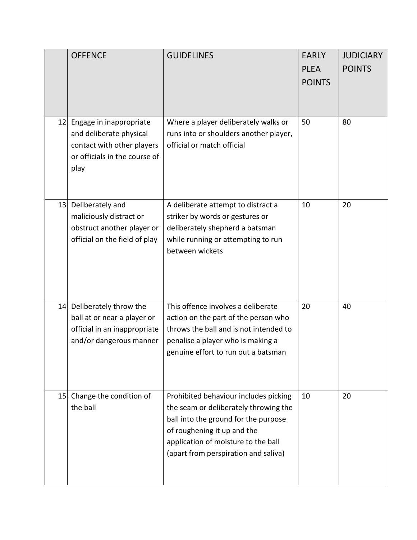|                 | <b>OFFENCE</b>                                                                                                            | <b>GUIDELINES</b>                                                                                                                                                                                                                    | <b>EARLY</b><br><b>PLEA</b><br><b>POINTS</b> | <b>JUDICIARY</b><br><b>POINTS</b> |
|-----------------|---------------------------------------------------------------------------------------------------------------------------|--------------------------------------------------------------------------------------------------------------------------------------------------------------------------------------------------------------------------------------|----------------------------------------------|-----------------------------------|
| 12.             | Engage in inappropriate<br>and deliberate physical<br>contact with other players<br>or officials in the course of<br>play | Where a player deliberately walks or<br>runs into or shoulders another player,<br>official or match official                                                                                                                         | 50                                           | 80                                |
| 13.             | Deliberately and<br>maliciously distract or<br>obstruct another player or<br>official on the field of play                | A deliberate attempt to distract a<br>striker by words or gestures or<br>deliberately shepherd a batsman<br>while running or attempting to run<br>between wickets                                                                    | 10                                           | 20                                |
| 14.             | Deliberately throw the<br>ball at or near a player or<br>official in an inappropriate<br>and/or dangerous manner          | This offence involves a deliberate<br>action on the part of the person who<br>throws the ball and is not intended to<br>penalise a player who is making a<br>genuine effort to run out a batsman                                     | 20                                           | 40                                |
| 15 <sub>l</sub> | Change the condition of<br>the ball                                                                                       | Prohibited behaviour includes picking<br>the seam or deliberately throwing the<br>ball into the ground for the purpose<br>of roughening it up and the<br>application of moisture to the ball<br>(apart from perspiration and saliva) | 10                                           | 20                                |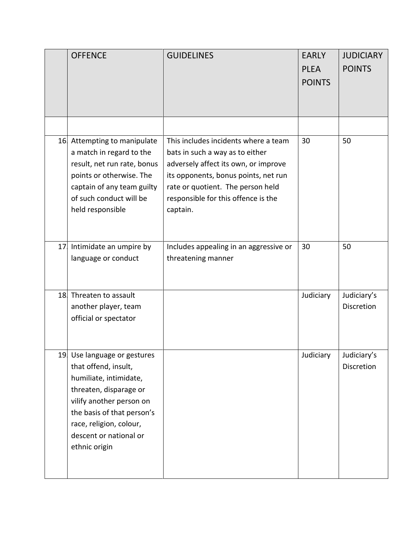|    | <b>OFFENCE</b>                                                                                                                                                                                                                          | <b>GUIDELINES</b>                                                                                                                                                                                                                               | <b>EARLY</b><br><b>PLEA</b><br><b>POINTS</b> | <b>JUDICIARY</b><br><b>POINTS</b> |
|----|-----------------------------------------------------------------------------------------------------------------------------------------------------------------------------------------------------------------------------------------|-------------------------------------------------------------------------------------------------------------------------------------------------------------------------------------------------------------------------------------------------|----------------------------------------------|-----------------------------------|
|    | 16 Attempting to manipulate<br>a match in regard to the<br>result, net run rate, bonus<br>points or otherwise. The<br>captain of any team guilty<br>of such conduct will be<br>held responsible                                         | This includes incidents where a team<br>bats in such a way as to either<br>adversely affect its own, or improve<br>its opponents, bonus points, net run<br>rate or quotient. The person held<br>responsible for this offence is the<br>captain. | 30                                           | 50                                |
| 17 | Intimidate an umpire by<br>language or conduct                                                                                                                                                                                          | Includes appealing in an aggressive or<br>threatening manner                                                                                                                                                                                    | 30                                           | 50                                |
|    | 18 Threaten to assault<br>another player, team<br>official or spectator                                                                                                                                                                 |                                                                                                                                                                                                                                                 | Judiciary                                    | Judiciary's<br><b>Discretion</b>  |
|    | 19 Use language or gestures<br>that offend, insult,<br>humiliate, intimidate,<br>threaten, disparage or<br>vilify another person on<br>the basis of that person's<br>race, religion, colour,<br>descent or national or<br>ethnic origin |                                                                                                                                                                                                                                                 | Judiciary                                    | Judiciary's<br>Discretion         |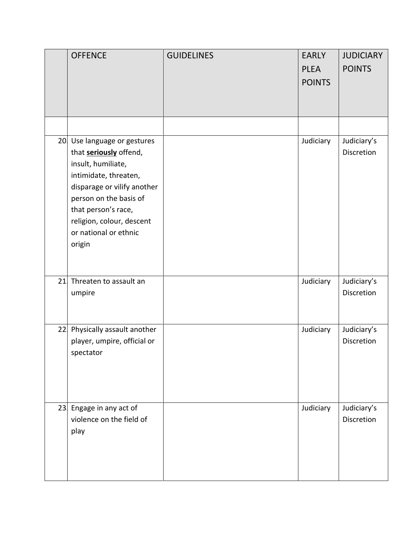|     | <b>OFFENCE</b>                                                                                                                                                                                                                                              | <b>GUIDELINES</b> | <b>EARLY</b><br><b>PLEA</b><br><b>POINTS</b> | <b>JUDICIARY</b><br><b>POINTS</b> |
|-----|-------------------------------------------------------------------------------------------------------------------------------------------------------------------------------------------------------------------------------------------------------------|-------------------|----------------------------------------------|-----------------------------------|
|     |                                                                                                                                                                                                                                                             |                   |                                              |                                   |
|     |                                                                                                                                                                                                                                                             |                   |                                              |                                   |
|     | 20 Use language or gestures<br>that <b>seriously</b> offend,<br>insult, humiliate,<br>intimidate, threaten,<br>disparage or vilify another<br>person on the basis of<br>that person's race,<br>religion, colour, descent<br>or national or ethnic<br>origin |                   | Judiciary                                    | Judiciary's<br>Discretion         |
| 21  | Threaten to assault an<br>umpire                                                                                                                                                                                                                            |                   | Judiciary                                    | Judiciary's<br>Discretion         |
| 22  | Physically assault another<br>player, umpire, official or<br>spectator                                                                                                                                                                                      |                   | Judiciary                                    | Judiciary's<br>Discretion         |
| 23. | Engage in any act of<br>violence on the field of<br>play                                                                                                                                                                                                    |                   | Judiciary                                    | Judiciary's<br>Discretion         |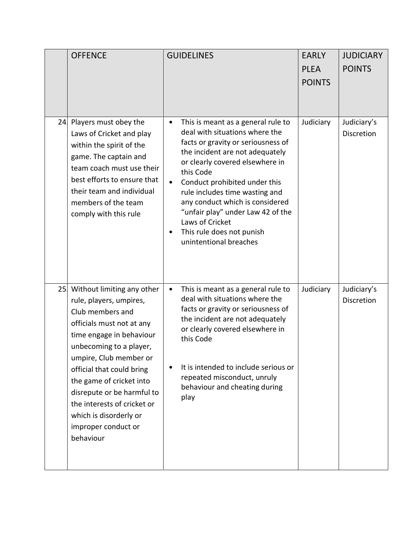| <b>OFFENCE</b>                                                                                                                                                                                                                                                                                                                                                                 | <b>GUIDELINES</b>                                                                                                                                                                                                                                                                                                                                                                                                                                         | <b>EARLY</b><br><b>PLEA</b><br><b>POINTS</b> | <b>JUDICIARY</b><br><b>POINTS</b> |
|--------------------------------------------------------------------------------------------------------------------------------------------------------------------------------------------------------------------------------------------------------------------------------------------------------------------------------------------------------------------------------|-----------------------------------------------------------------------------------------------------------------------------------------------------------------------------------------------------------------------------------------------------------------------------------------------------------------------------------------------------------------------------------------------------------------------------------------------------------|----------------------------------------------|-----------------------------------|
| 24 Players must obey the<br>Laws of Cricket and play<br>within the spirit of the<br>game. The captain and<br>team coach must use their<br>best efforts to ensure that<br>their team and individual<br>members of the team<br>comply with this rule                                                                                                                             | This is meant as a general rule to<br>$\bullet$<br>deal with situations where the<br>facts or gravity or seriousness of<br>the incident are not adequately<br>or clearly covered elsewhere in<br>this Code<br>Conduct prohibited under this<br>$\bullet$<br>rule includes time wasting and<br>any conduct which is considered<br>"unfair play" under Law 42 of the<br>Laws of Cricket<br>This rule does not punish<br>$\bullet$<br>unintentional breaches | Judiciary                                    | Judiciary's<br>Discretion         |
| 25 Without limiting any other<br>rule, players, umpires,<br>Club members and<br>officials must not at any<br>time engage in behaviour<br>unbecoming to a player,<br>umpire, Club member or<br>official that could bring<br>the game of cricket into<br>disrepute or be harmful to<br>the interests of cricket or<br>which is disorderly or<br>improper conduct or<br>behaviour | This is meant as a general rule to<br>$\bullet$<br>deal with situations where the<br>facts or gravity or seriousness of<br>the incident are not adequately<br>or clearly covered elsewhere in<br>this Code<br>It is intended to include serious or<br>$\bullet$<br>repeated misconduct, unruly<br>behaviour and cheating during<br>play                                                                                                                   | Judiciary                                    | Judiciary's<br>Discretion         |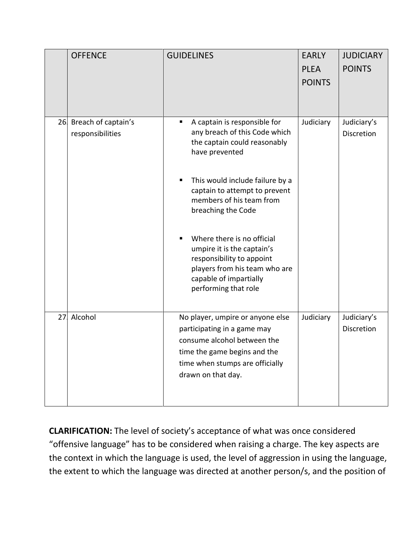|    | <b>OFFENCE</b>                             | <b>GUIDELINES</b>                                                                                                                                                                                                                                                                                                                                                                                                 | <b>EARLY</b><br><b>PLEA</b><br><b>POINTS</b> | <b>JUDICIARY</b><br><b>POINTS</b> |
|----|--------------------------------------------|-------------------------------------------------------------------------------------------------------------------------------------------------------------------------------------------------------------------------------------------------------------------------------------------------------------------------------------------------------------------------------------------------------------------|----------------------------------------------|-----------------------------------|
|    | 26 Breach of captain's<br>responsibilities | A captain is responsible for<br>any breach of this Code which<br>the captain could reasonably<br>have prevented<br>This would include failure by a<br>captain to attempt to prevent<br>members of his team from<br>breaching the Code<br>Where there is no official<br>umpire it is the captain's<br>responsibility to appoint<br>players from his team who are<br>capable of impartially<br>performing that role | Judiciary                                    | Judiciary's<br>Discretion         |
| 27 | Alcohol                                    | No player, umpire or anyone else<br>participating in a game may<br>consume alcohol between the<br>time the game begins and the<br>time when stumps are officially<br>drawn on that day.                                                                                                                                                                                                                           | Judiciary                                    | Judiciary's<br><b>Discretion</b>  |

**CLARIFICATION:** The level of society's acceptance of what was once considered "offensive language" has to be considered when raising a charge. The key aspects are the context in which the language is used, the level of aggression in using the language, the extent to which the language was directed at another person/s, and the position of